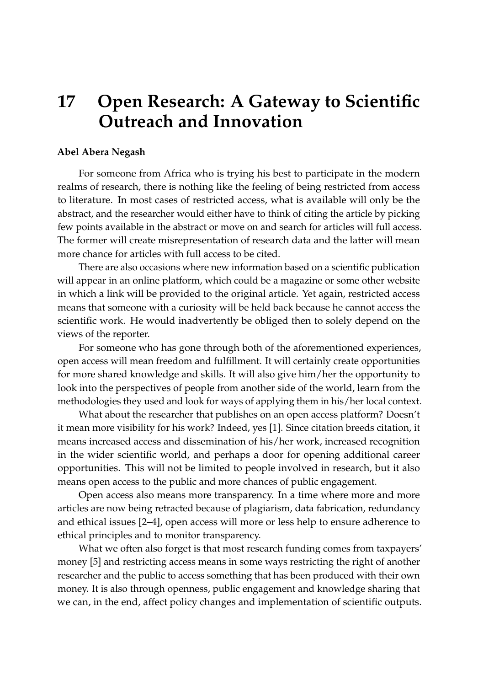## **17 Open Research: A Gateway to Scientific Outreach and Innovation**

## **Abel Abera Negash**

For someone from Africa who is trying his best to participate in the modern realms of research, there is nothing like the feeling of being restricted from access to literature. In most cases of restricted access, what is available will only be the abstract, and the researcher would either have to think of citing the article by picking few points available in the abstract or move on and search for articles will full access. The former will create misrepresentation of research data and the latter will mean more chance for articles with full access to be cited.

There are also occasions where new information based on a scientific publication will appear in an online platform, which could be a magazine or some other website in which a link will be provided to the original article. Yet again, restricted access means that someone with a curiosity will be held back because he cannot access the scientific work. He would inadvertently be obliged then to solely depend on the views of the reporter.

For someone who has gone through both of the aforementioned experiences, open access will mean freedom and fulfillment. It will certainly create opportunities for more shared knowledge and skills. It will also give him/her the opportunity to look into the perspectives of people from another side of the world, learn from the methodologies they used and look for ways of applying them in his/her local context.

What about the researcher that publishes on an open access platform? Doesn't it mean more visibility for his work? Indeed, yes [\[1\]](#page-1-0). Since citation breeds citation, it means increased access and dissemination of his/her work, increased recognition in the wider scientific world, and perhaps a door for opening additional career opportunities. This will not be limited to people involved in research, but it also means open access to the public and more chances of public engagement.

Open access also means more transparency. In a time where more and more articles are now being retracted because of plagiarism, data fabrication, redundancy and ethical issues [\[2](#page-1-1)[–4\]](#page-1-2), open access will more or less help to ensure adherence to ethical principles and to monitor transparency.

What we often also forget is that most research funding comes from taxpayers' money [\[5\]](#page-1-3) and restricting access means in some ways restricting the right of another researcher and the public to access something that has been produced with their own money. It is also through openness, public engagement and knowledge sharing that we can, in the end, affect policy changes and implementation of scientific outputs.